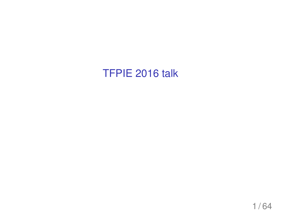#### TFPIE 2016 talk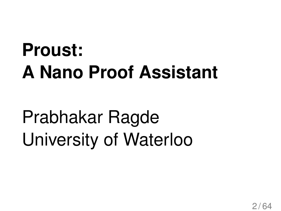### **Proust: A Nano Proof Assistant**

### Prabhakar Ragde University of Waterloo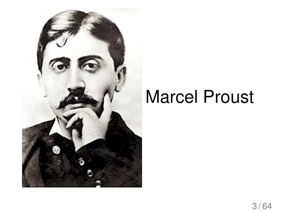

### Marcel Proust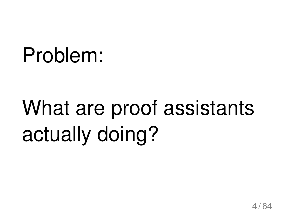### Problem:

## What are proof assistants actually doing?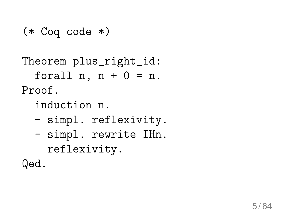#### (\* Coq code \*)

Theorem plus\_right\_id: forall  $n, n + 0 = n$ . Proof.

induction n.

- simpl. reflexivity.
- simpl. rewrite IHn. reflexivity.

Qed.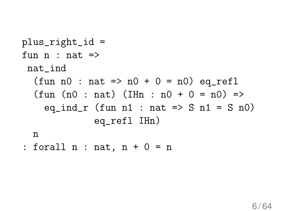plus\_right\_id = fun n : nat => nat\_ind (fun n0 : nat => n0 + 0 = n0) eq\_refl (fun (n0 : nat) (IHn : n0 + 0 = n0) => eq\_ind\_r (fun n1 : nat => S n1 = S n0) eq\_refl IHn)

n

: forall  $n : nat, n + 0 = n$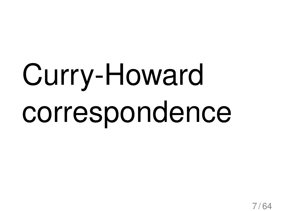# Curry-Howard correspondence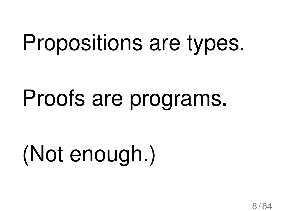### Propositions are types.

### Proofs are programs.

## (Not enough.)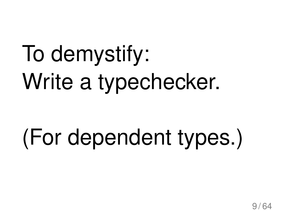## To demystify: Write a typechecker.

## (For dependent types.)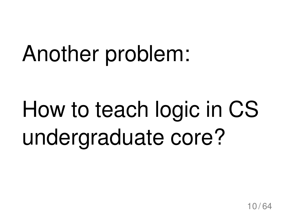## Another problem:

## How to teach logic in CS undergraduate core?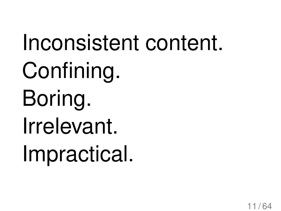Inconsistent content. Confining. Boring. Irrelevant. Impractical.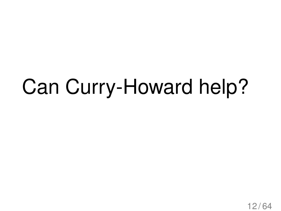### Can Curry-Howard help?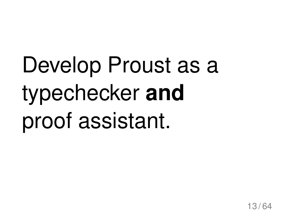## Develop Proust as a typechecker **and** proof assistant.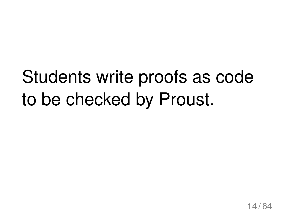### Students write proofs as code to be checked by Proust.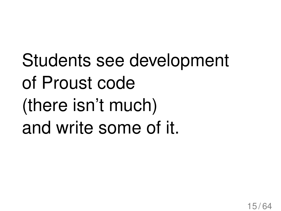Students see development of Proust code (there isn't much) and write some of it.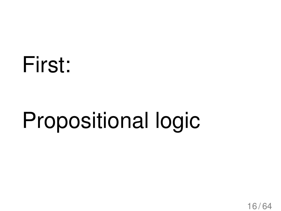### First:

## Propositional logic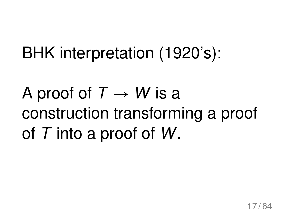#### BHK interpretation (1920's):

### A proof of  $T \rightarrow W$  is a construction transforming a proof of *T* into a proof of *W*.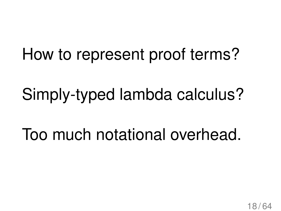#### How to represent proof terms?

#### Simply-typed lambda calculus?

#### Too much notational overhead.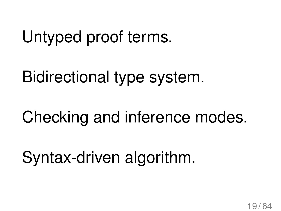#### Untyped proof terms.

Bidirectional type system.

Checking and inference modes.

Syntax-driven algorithm.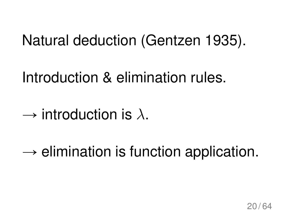#### Natural deduction (Gentzen 1935).

Introduction & elimination rules.

- $\rightarrow$  introduction is  $\lambda$ .
- $\rightarrow$  elimination is function application.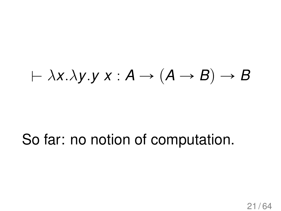#### $\vdash \lambda x.\lambda y.y \times : A \rightarrow (A \rightarrow B) \rightarrow B$

#### So far: no notion of computation.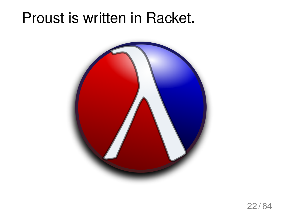#### Proust is written in Racket.

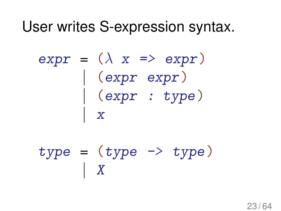#### User writes S-expression syntax.

 $expr = (\lambda x \Rightarrow expr)$  $|\quad$  (expr expr)  $|\quad$  (expr : type) | x

 $type = (type \rightarrow type)$  $|$  X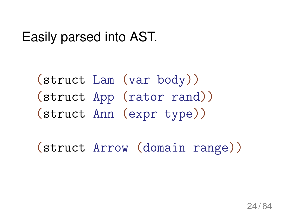Easily parsed into AST.

(struct Lam (var body)) (struct App (rator rand)) (struct Ann (expr type))

(struct Arrow (domain range))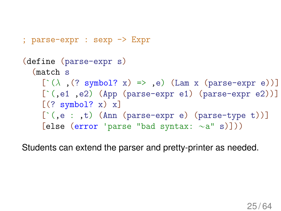```
(define (parse-expr s)
  (match s
    [\hat{ } (\lambda, (? symbol? x) \Rightarrow , e) (Lam x (parse-expr e))]
    [\text{`},\text{e1 },\text{e2}) (App (parse-expr e1) (parse-expr e2))]
    [(? symbol? x) x][\hat{C}, e : , t] (Ann (parse-expr e) (parse-type t))]
     [else (error 'parse "bad syntax: \sim a'' s)]))
```
; parse-expr : sexp -> Expr

Students can extend the parser and pretty-printer as needed.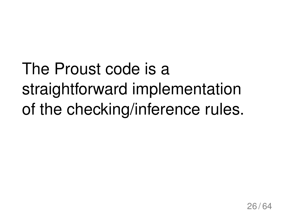The Proust code is a straightforward implementation of the checking/inference rules.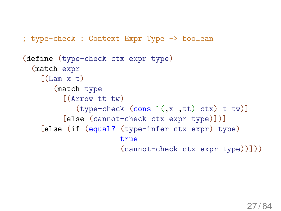; type-check : Context Expr Type -> boolean

```
(define (type-check ctx expr type)
  (match expr
    [(\text{Lam } x t)](match type
         [(Arrow tt tw)
            (type-check (cons `(,x ,tt) ctx) t tw)]
         [else (cannot-check ctx expr type)])]
    [else (if (equal? (type-infer ctx expr) type)
                       true
                       (cannot-check ctx expr type))]))
```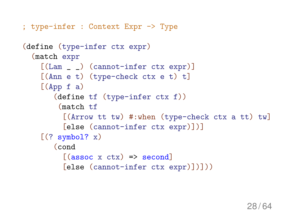```
; type-infer : Context Expr -> Type
(define (type-infer ctx expr)
  (match expr
    [(Lam _ _) (cannot-infer ctx expr)]
    [(Ann e t) (type-check ctx e t) t]
    [(App f a)](define tf (type-infer ctx f))
         (match tf
          [(Arrow tt tw) #:when (type-check ctx a tt) tw]
          [else (cannot-infer ctx expr)])]
    [(? symbol? x)](cond
          [(\text{assoc } x \text{ ctx}) \Rightarrow \text{second}][else (cannot-infer ctx expr)])]))
```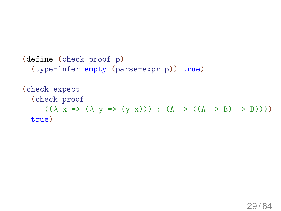```
(define (check-proof p)
  (type-infer empty (parse-expr p)) true)
(check-expect
  (check-proof
    '((\lambda x => (\lambda y => (y x))) : (A -> ((A -> B) -> B))))
 true)
```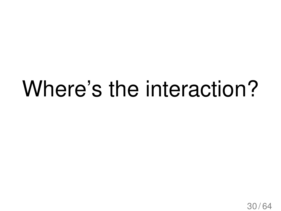### Where's the interaction?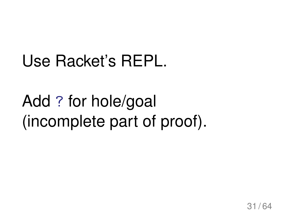#### Use Racket's REPL.

#### Add ? for hole/goal (incomplete part of proof).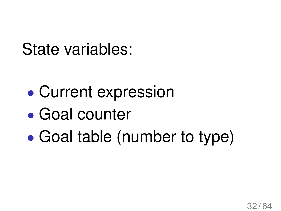State variables:

- Current expression
- ' Goal counter
- ' Goal table (number to type)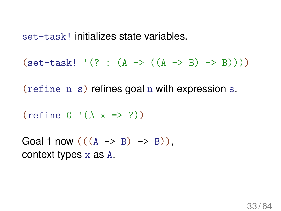set-task! initializes state variables.

 $(set-task!$  '(? :  $(A \rightarrow ((A \rightarrow B) \rightarrow B)))$ )

(refine n s) refines goal n with expression s.

(refine  $0 \cdot (\lambda \times \Rightarrow ?)$ )

Goal 1 now  $(((A \rightarrow B) \rightarrow B))$ . context types x as A.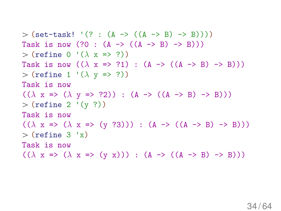```
> (set-task! '(? : (A -> ((A -> B) -> B))))
Task is now (?0 : (A \rightarrow ((A \rightarrow B) \rightarrow B)))> (refine 0 '(\lambda x => ?))
Task is now ((\lambda x \Rightarrow ?1) : (A \rightarrow ((A \rightarrow B) \rightarrow B)))> (refine 1 '(\lambda y => ?))
Task is now
((\lambda \times \Rightarrow (\lambda \times \Rightarrow ?2)) : (A \rightarrow ((A \rightarrow B) \rightarrow B)))> (refine 2 '(y ?))
Task is now
((\lambda \times \Rightarrow (\lambda \times \Rightarrow (y \times 3)))) : (A \rightarrow ((A \rightarrow B) \rightarrow B)))>(refine 3 'x)Task is now
((\lambda \times \Rightarrow (\lambda \times \Rightarrow (y \times))) : (A \rightarrow ((A \rightarrow B) \rightarrow B)))
```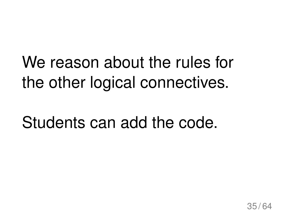#### We reason about the rules for the other logical connectives.

#### Students can add the code.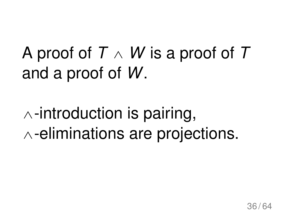A proof of *T* ^ *W* is a proof of *T* and a proof of *W*.

 $\wedge$ -introduction is pairing,  $\wedge$ -eliminations are projections.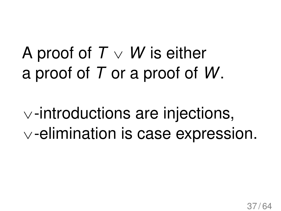#### A proof of  $T \vee W$  is either a proof of *T* or a proof of *W*.

 $\vee$ -introductions are injections,  $\vee$ -elimination is case expression.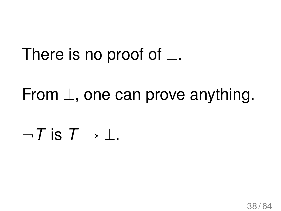#### There is no proof of  $\perp$ .

From  $\perp$ , one can prove anything.

 $-T$  is  $T \rightarrow \perp$ .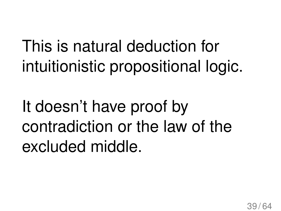This is natural deduction for intuitionistic propositional logic.

It doesn't have proof by contradiction or the law of the excluded middle.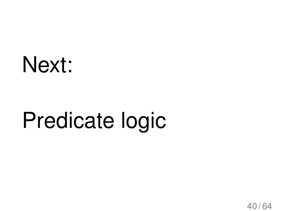### Next:

## Predicate logic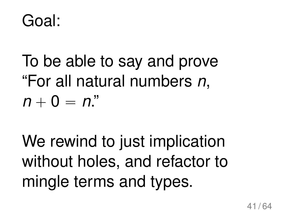#### Goal:

To be able to say and prove "For all natural numbers *n*,  $n + 0 = n$ "

We rewind to just implication without holes, and refactor to mingle terms and types.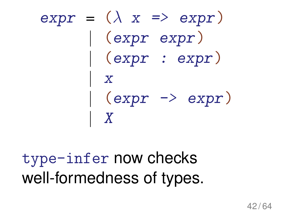$\exp r = (\lambda x \Rightarrow \exp r)$  $|$  (expr expr) | (expr : expr) | x  $|$  (expr  $\rightarrow$  expr) | X

type-infer now checks well-formedness of types.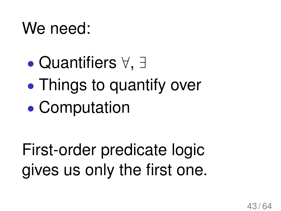#### We need:

- $\bullet$  Quantifiers  $\forall, \exists$
- Things to quantify over
- ' Computation

First-order predicate logic gives us only the first one.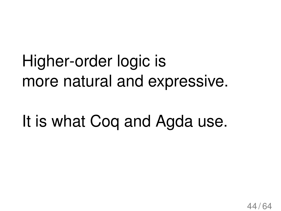### Higher-order logic is more natural and expressive.

It is what Coq and Agda use.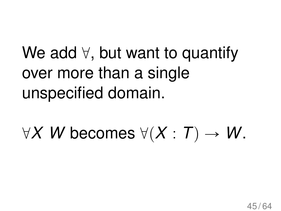### We add  $\forall$ , but want to quantify over more than a single unspecified domain.

 $\forall X \ W$  becomes  $\forall (X : T) \rightarrow W$ .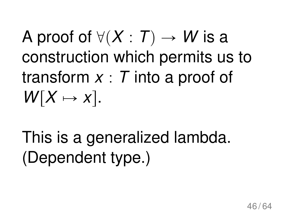### A proof of  $\forall$ (X : T)  $\rightarrow$  *W* is a construction which permits us to transform *x* : *T* into a proof of  $W[X \mapsto x]$ .

This is a generalized lambda. (Dependent type.)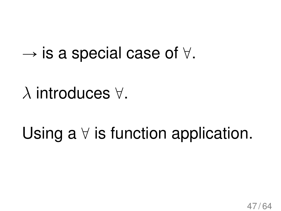$\rightarrow$  is a special case of  $\forall$ .

 $\lambda$  introduces  $\forall$ .

Using a  $\forall$  is function application.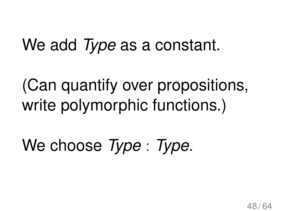#### We add *Type* as a constant.

(Can quantify over propositions, write polymorphic functions.)

We choose *Type* : *Type*.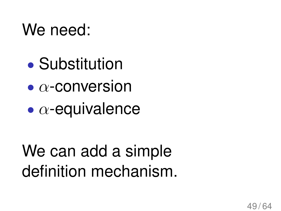#### We need:

- ' Substitution
- $\bullet$   $\alpha$ -conversion
- $\bullet$   $\alpha$ -equivalence

### We can add a simple definition mechanism.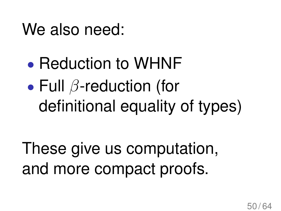#### We also need:

### • Reduction to WHNF  $\bullet$  Full  $\beta$ -reduction (for definitional equality of types)

These give us computation, and more compact proofs.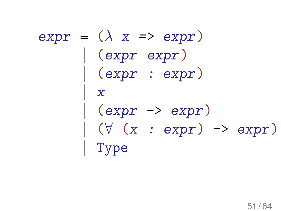#### $expr = (\lambda x \Rightarrow expr)$  $\vert$  (expr expr) | (expr : expr)  $\overline{X}$ (expr ->  $\texttt{expr}$ )  $(\forall (x : expr) \rightarrow expr)$ | Type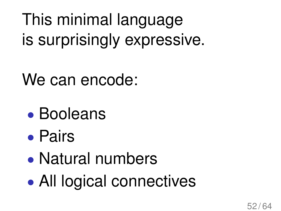This minimal language is surprisingly expressive.

We can encode:

- ' Booleans
- ' Pairs
- ' Natural numbers
- All logical connectives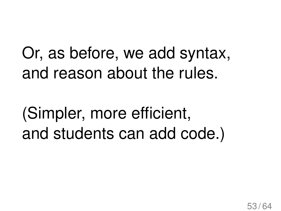Or, as before, we add syntax, and reason about the rules.

(Simpler, more efficient, and students can add code.)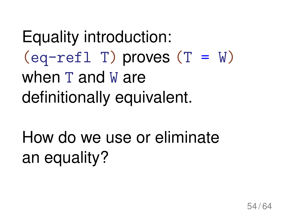Equality introduction:  $\text{(eq-refl T)}$  proves  $(T = W)$ when T and W are definitionally equivalent.

How do we use or eliminate an equality?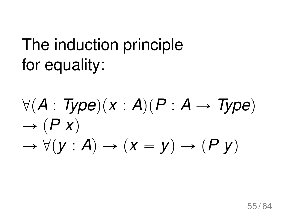#### The induction principle for equality:

 $\forall (A : Type)(x : A)(P : A \rightarrow Type)$  $\rightarrow$   $(P x)$  $\rightarrow \forall (y : A) \rightarrow (x = y) \rightarrow (P y)$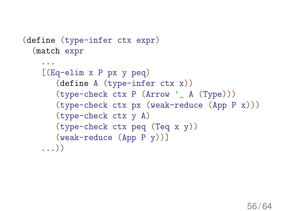```
(define (type-infer ctx expr)
  (match expr
    ...
    [(Eq-elim x P px y peq)
       (define A (type-infer ctx x))
       (type-check ctx P (Arrow '_ A (Type)))
       (type-check ctx px (weak-reduce (App P x)))
       (type-check ctx y A)
       (type-check ctx peq (Teq x y))
       (weak-reduce (App P y))]
    ...))
```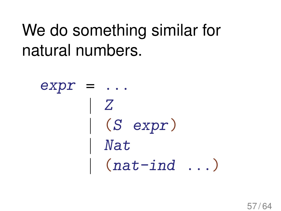#### We do something similar for natural numbers.

 $expr = ...$ | Z | (S expr) | Nat  $|$  (nat-ind ...)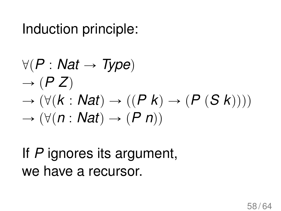#### Induction principle:

$$
\forall (P: Nat \rightarrow Type)
$$
  
\n
$$
\rightarrow (P Z)
$$
  
\n
$$
\rightarrow (\forall (k: Nat) \rightarrow ((P k) \rightarrow (P (S k))))
$$
  
\n
$$
\rightarrow (\forall (n: Nat) \rightarrow (P n))
$$

#### If *P* ignores its argument, we have a recursor.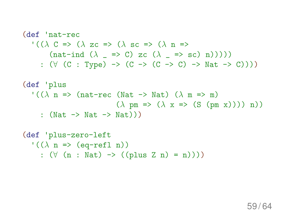#### (def 'nat-rec '(( $\lambda$  C => ( $\lambda$  zc => ( $\lambda$  sc => ( $\lambda$  n =>  $(\text{nat-ind } (\lambda = > c) \text{ zc } (\lambda = > sc) \text{ n})))$ :  $(\forall (C : Type) \rightarrow (C \rightarrow (C \rightarrow C) \rightarrow Nat \rightarrow C)))$

```
(def 'plus
    \cdot ((\lambda n => (nat-rec (Nat -> Nat) (\lambda m => m)
                                          (\lambda \text{ pm} \Rightarrow (\lambda \text{ x} \Rightarrow (\text{S} (\text{pm} \text{ x})))) \text{ n}): (\text{Nat} \rightarrow \text{Nat} \rightarrow \text{Nat}))(def 'plus-zero-left
```

```
'((\lambda \ n \Rightarrow (eq-refl n))
   : (\forall (n : Nat) \rightarrow ((plus Z n) = n))))
```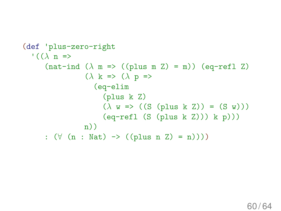```
(def 'plus-zero-right
   \cdot ((\lambda n =>
        (nat-ind (\lambda \text{ m} \Rightarrow ((\text{plus } \text{ m } \text{Z}) = \text{m})) (eq-refl Z)
                       (\lambda \kappa \Rightarrow (\lambda p \Rightarrow(eq-elim
                              (plus k Z)
                              (\lambda \ w \Rightarrow ((S \text{ (plus } k Z)) = (S \ w)))(eq-refl (S (plus k Z))) k p)))n))
        : (\forall (n : Nat) \rightarrow ((plus n Z) = n))))
```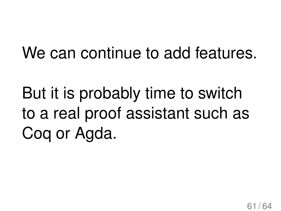#### We can continue to add features.

But it is probably time to switch to a real proof assistant such as Coq or Agda.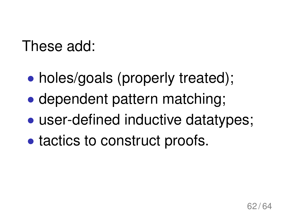#### These add:

- holes/goals (properly treated);
- ' dependent pattern matching;
- user-defined inductive datatypes;
- tactics to construct proofs.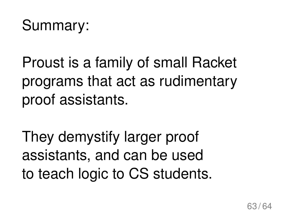#### Summary:

Proust is a family of small Racket programs that act as rudimentary proof assistants.

They demystify larger proof assistants, and can be used to teach logic to CS students.